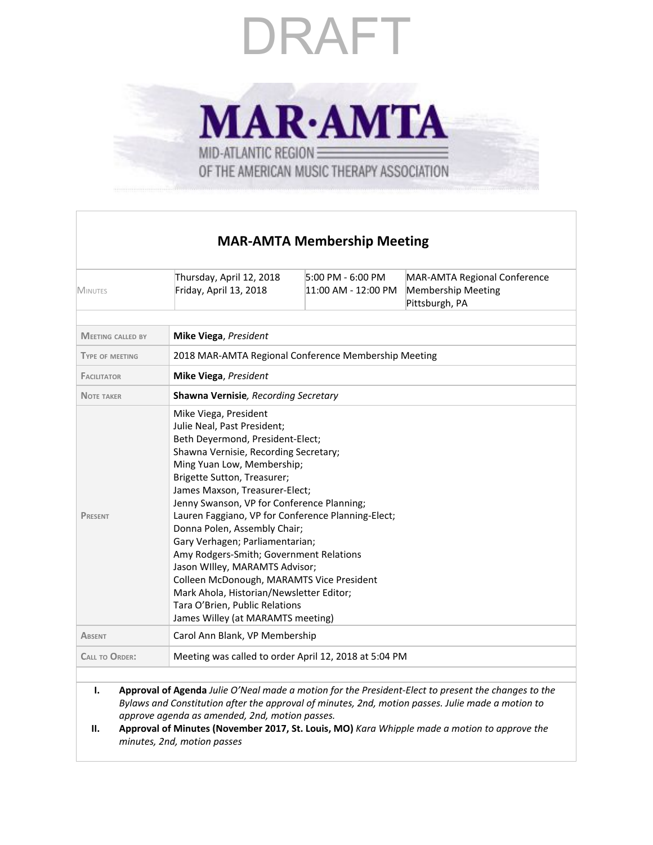**MAR-AMTA** MID-ATLANTIC REGION OF THE AMERICAN MUSIC THERAPY ASSOCIATION

### **MAR-AMTA Membership Meeting**

| <b>MINUTES</b>           | Thursday, April 12, 2018<br>Friday, April 13, 2018                                                                                                                                                                                                                                                                                                                                                                                                                                                                                                                                                                                                   | 5:00 PM - 6:00 PM<br>11:00 AM - 12:00 PM | MAR-AMTA Regional Conference<br><b>Membership Meeting</b><br>Pittsburgh, PA                         |  |  |
|--------------------------|------------------------------------------------------------------------------------------------------------------------------------------------------------------------------------------------------------------------------------------------------------------------------------------------------------------------------------------------------------------------------------------------------------------------------------------------------------------------------------------------------------------------------------------------------------------------------------------------------------------------------------------------------|------------------------------------------|-----------------------------------------------------------------------------------------------------|--|--|
| <b>MEETING CALLED BY</b> | Mike Viega, President                                                                                                                                                                                                                                                                                                                                                                                                                                                                                                                                                                                                                                |                                          |                                                                                                     |  |  |
| <b>TYPE OF MEETING</b>   | 2018 MAR-AMTA Regional Conference Membership Meeting                                                                                                                                                                                                                                                                                                                                                                                                                                                                                                                                                                                                 |                                          |                                                                                                     |  |  |
| <b>FACILITATOR</b>       | Mike Viega, President                                                                                                                                                                                                                                                                                                                                                                                                                                                                                                                                                                                                                                |                                          |                                                                                                     |  |  |
| <b>NOTE TAKER</b>        | Shawna Vernisie, Recording Secretary                                                                                                                                                                                                                                                                                                                                                                                                                                                                                                                                                                                                                 |                                          |                                                                                                     |  |  |
| <b>PRESENT</b>           | Mike Viega, President<br>Julie Neal, Past President;<br>Beth Deyermond, President-Elect;<br>Shawna Vernisie, Recording Secretary;<br>Ming Yuan Low, Membership;<br>Brigette Sutton, Treasurer;<br>James Maxson, Treasurer-Elect;<br>Jenny Swanson, VP for Conference Planning;<br>Lauren Faggiano, VP for Conference Planning-Elect;<br>Donna Polen, Assembly Chair;<br>Gary Verhagen; Parliamentarian;<br>Amy Rodgers-Smith; Government Relations<br>Jason Willey, MARAMTS Advisor;<br>Colleen McDonough, MARAMTS Vice President<br>Mark Ahola, Historian/Newsletter Editor;<br>Tara O'Brien, Public Relations<br>James Willey (at MARAMTS meeting) |                                          |                                                                                                     |  |  |
| <b>ABSENT</b>            | Carol Ann Blank, VP Membership                                                                                                                                                                                                                                                                                                                                                                                                                                                                                                                                                                                                                       |                                          |                                                                                                     |  |  |
| <b>CALL TO ORDER:</b>    | Meeting was called to order April 12, 2018 at 5:04 PM                                                                                                                                                                                                                                                                                                                                                                                                                                                                                                                                                                                                |                                          |                                                                                                     |  |  |
| Ι.<br>н.                 | Bylaws and Constitution after the approval of minutes, 2nd, motion passes. Julie made a motion to<br>approve agenda as amended, 2nd, motion passes.<br>Approval of Minutes (November 2017, St. Louis, MO) Kara Whipple made a motion to approve the<br>minutes, 2nd, motion passes                                                                                                                                                                                                                                                                                                                                                                   |                                          | Approval of Agenda Julie O'Neal made a motion for the President-Elect to present the changes to the |  |  |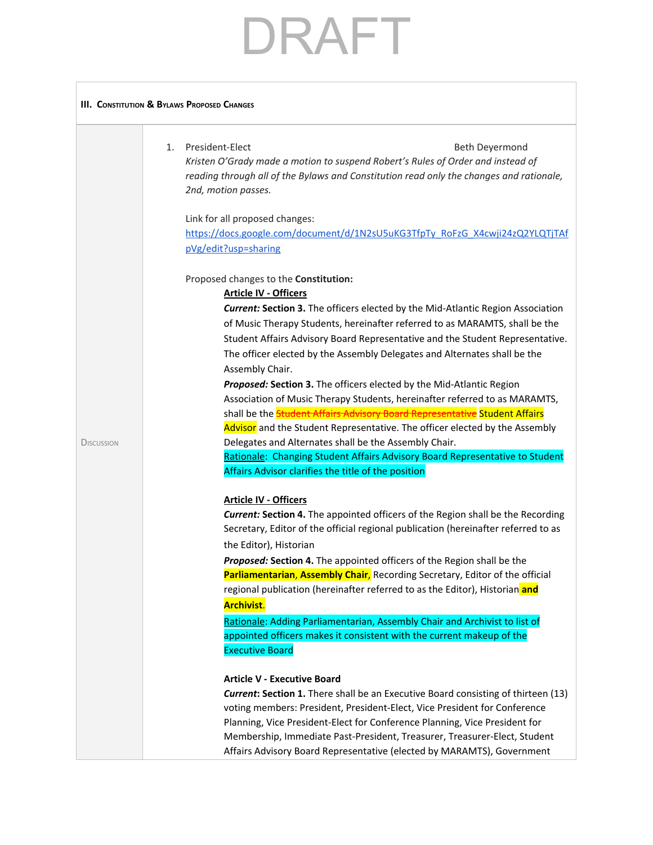### **III. CONSTITUTION & BYLAWS PROPOSED CHANGES**

| $1_{-}$ | President-Elect                                                                         | Beth Devermond |
|---------|-----------------------------------------------------------------------------------------|----------------|
|         | Kristen O'Grady made a motion to suspend Robert's Rules of Order and instead of         |                |
|         | reading through all of the Bylaws and Constitution read only the changes and rationale, |                |
|         | 2nd, motion passes.                                                                     |                |

Link for all proposed changes:

[https://docs.google.com/document/d/1N2sU5uKG3TfpTy\\_RoFzG\\_X4cwji24zQ2YLQTjTAf](https://docs.google.com/document/d/1N2sU5uKG3TfpTy_RoFzG_X4cwji24zQ2YLQTjTAfpVg/edit?usp=sharing) [pVg/edit?usp=sharing](https://docs.google.com/document/d/1N2sU5uKG3TfpTy_RoFzG_X4cwji24zQ2YLQTjTAfpVg/edit?usp=sharing)

Proposed changes to the **Constitution:**

### **Article IV - Officers**

|                   | <b>Current: Section 3.</b> The officers elected by the Mid-Atlantic Region Association<br>of Music Therapy Students, hereinafter referred to as MARAMTS, shall be the<br>Student Affairs Advisory Board Representative and the Student Representative.                                                                                                                                                                                                                                                                                    |
|-------------------|-------------------------------------------------------------------------------------------------------------------------------------------------------------------------------------------------------------------------------------------------------------------------------------------------------------------------------------------------------------------------------------------------------------------------------------------------------------------------------------------------------------------------------------------|
|                   | The officer elected by the Assembly Delegates and Alternates shall be the                                                                                                                                                                                                                                                                                                                                                                                                                                                                 |
| <b>DISCUSSION</b> | Assembly Chair.<br>Proposed: Section 3. The officers elected by the Mid-Atlantic Region<br>Association of Music Therapy Students, hereinafter referred to as MARAMTS,<br>shall be the <b>Student Affairs Advisory Board Representative</b> Student Affairs<br>Advisor and the Student Representative. The officer elected by the Assembly<br>Delegates and Alternates shall be the Assembly Chair.<br>Rationale: Changing Student Affairs Advisory Board Representative to Student<br>Affairs Advisor clarifies the title of the position |
|                   | <b>Article IV - Officers</b>                                                                                                                                                                                                                                                                                                                                                                                                                                                                                                              |
|                   | <b>Current: Section 4.</b> The appointed officers of the Region shall be the Recording                                                                                                                                                                                                                                                                                                                                                                                                                                                    |
|                   | Secretary, Editor of the official regional publication (hereinafter referred to as                                                                                                                                                                                                                                                                                                                                                                                                                                                        |
|                   | the Editor), Historian                                                                                                                                                                                                                                                                                                                                                                                                                                                                                                                    |
|                   | Proposed: Section 4. The appointed officers of the Region shall be the                                                                                                                                                                                                                                                                                                                                                                                                                                                                    |
|                   | Parliamentarian, Assembly Chair, Recording Secretary, Editor of the official                                                                                                                                                                                                                                                                                                                                                                                                                                                              |
|                   | regional publication (hereinafter referred to as the Editor), Historian and                                                                                                                                                                                                                                                                                                                                                                                                                                                               |
|                   | <b>Archivist.</b>                                                                                                                                                                                                                                                                                                                                                                                                                                                                                                                         |
|                   | Rationale: Adding Parliamentarian, Assembly Chair and Archivist to list of                                                                                                                                                                                                                                                                                                                                                                                                                                                                |
|                   | appointed officers makes it consistent with the current makeup of the                                                                                                                                                                                                                                                                                                                                                                                                                                                                     |
|                   | <b>Executive Board</b>                                                                                                                                                                                                                                                                                                                                                                                                                                                                                                                    |
|                   | <b>Article V - Executive Board</b>                                                                                                                                                                                                                                                                                                                                                                                                                                                                                                        |
|                   | <b>Current: Section 1.</b> There shall be an Executive Board consisting of thirteen (13)                                                                                                                                                                                                                                                                                                                                                                                                                                                  |
|                   | voting members: President, President-Elect, Vice President for Conference                                                                                                                                                                                                                                                                                                                                                                                                                                                                 |
|                   | Planning, Vice President-Elect for Conference Planning, Vice President for                                                                                                                                                                                                                                                                                                                                                                                                                                                                |
|                   | Membership, Immediate Past-President, Treasurer, Treasurer-Elect, Student                                                                                                                                                                                                                                                                                                                                                                                                                                                                 |
|                   | Affairs Advisory Board Representative (elected by MARAMTS), Government                                                                                                                                                                                                                                                                                                                                                                                                                                                                    |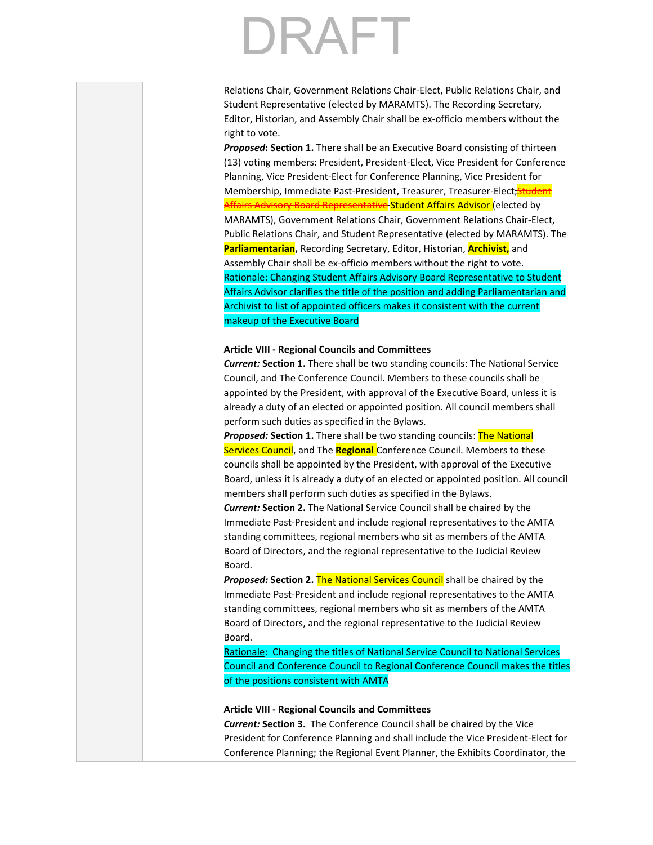### RAFT<sub></sub>

Relations Chair, Government Relations Chair-Elect, Public Relations Chair, and Student Representative (elected by MARAMTS). The Recording Secretary, Editor, Historian, and Assembly Chair shall be ex-officio members without the right to vote.

*Proposed***: Section 1.** There shall be an Executive Board consisting of thirteen (13) voting members: President, President-Elect, Vice President for Conference Planning, Vice President-Elect for Conference Planning, Vice President for Membership, Immediate Past-President, Treasurer, Treasurer-Elect, Student Affairs Advisory Board Representative Student Affairs Advisor (elected by MARAMTS), Government Relations Chair, Government Relations Chair-Elect, Public Relations Chair, and Student Representative (elected by MARAMTS). The **Parliamentarian,** Recording Secretary, Editor, Historian, **Archivist,** and Assembly Chair shall be ex-officio members without the right to vote. Rationale: Changing Student Affairs Advisory Board Representative to Student Affairs Advisor clarifies the title of the position and adding Parliamentarian and Archivist to list of appointed officers makes it consistent with the current makeup of the Executive Board

### **Article VIII - Regional Councils and Committees**

*Current:* **Section 1.** There shall be two standing councils: The National Service Council, and The Conference Council. Members to these councils shall be appointed by the President, with approval of the Executive Board, unless it is already a duty of an elected or appointed position. All council members shall perform such duties as specified in the Bylaws.

*Proposed:* **Section 1.** There shall be two standing councils: The National Services Council, and The **Regional** Conference Council. Members to these councils shall be appointed by the President, with approval of the Executive Board, unless it is already a duty of an elected or appointed position. All council members shall perform such duties as specified in the Bylaws.

*Current:* **Section 2.** The National Service Council shall be chaired by the Immediate Past-President and include regional representatives to the AMTA standing committees, regional members who sit as members of the AMTA Board of Directors, and the regional representative to the Judicial Review Board.

*Proposed:* **Section 2.** The National Services Council shall be chaired by the Immediate Past-President and include regional representatives to the AMTA standing committees, regional members who sit as members of the AMTA Board of Directors, and the regional representative to the Judicial Review Board.

Rationale: Changing the titles of National Service Council to National Services Council and Conference Council to Regional Conference Council makes the titles of the positions consistent with AMTA

### **Article VIII - Regional Councils and Committees**

*Current:* **Section 3.** The Conference Council shall be chaired by the Vice President for Conference Planning and shall include the Vice President-Elect for Conference Planning; the Regional Event Planner, the Exhibits Coordinator, the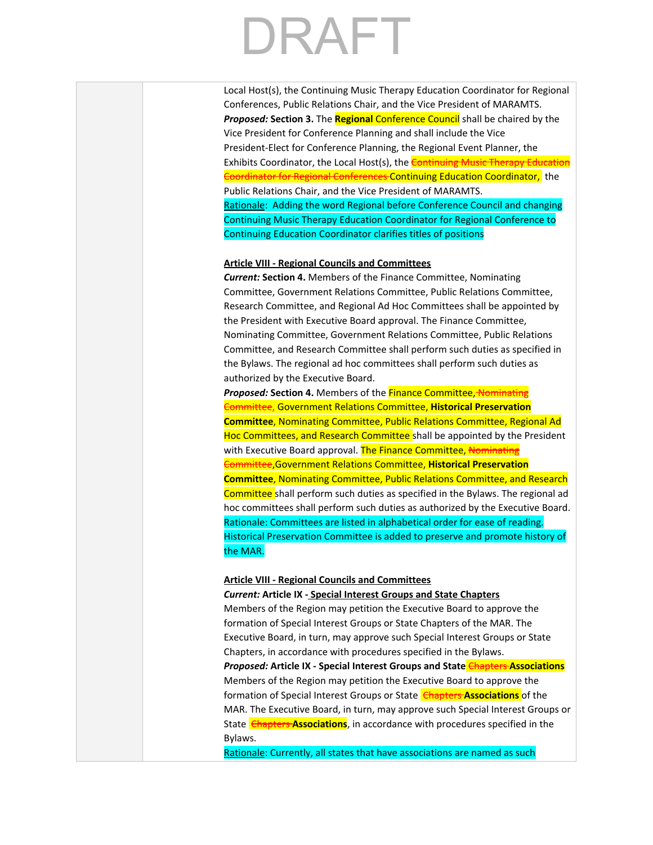Local Host(s), the Continuing Music Therapy Education Coordinator for Regional Conferences, Public Relations Chair, and the Vice President of MARAMTS. *Proposed:* **Section 3.** The **Regional** Conference Council shall be chaired by the Vice President for Conference Planning and shall include the Vice President-Elect for Conference Planning, the Regional Event Planner, the Exhibits Coordinator, the Local Host(s), the **Continuing Music Therapy Education** Coordinator for Regional Conferences Continuing Education Coordinator, the Public Relations Chair, and the Vice President of MARAMTS. Rationale: Adding the word Regional before Conference Council and changing Continuing Music Therapy Education Coordinator for Regional Conference to Continuing Education Coordinator clarifies titles of positions

### **Article VIII - Regional Councils and Committees**

*Current:* **Section 4.** Members of the Finance Committee, Nominating Committee, Government Relations Committee, Public Relations Committee, Research Committee, and Regional Ad Hoc Committees shall be appointed by the President with Executive Board approval. The Finance Committee, Nominating Committee, Government Relations Committee, Public Relations Committee, and Research Committee shall perform such duties as specified in the Bylaws. The regional ad hoc committees shall perform such duties as authorized by the Executive Board.

**Proposed: Section 4.** Members of the **Finance Committee, Nominating** Committee, Government Relations Committee, **Historical Preservation Committee**, Nominating Committee, Public Relations Committee, Regional Ad Hoc Committees, and Research Committee shall be appointed by the President with Executive Board approval. The Finance Committee, Nominating Committee,Government Relations Committee, **Historical Preservation Committee**, Nominating Committee, Public Relations Committee, and Research Committee shall perform such duties as specified in the Bylaws. The regional ad hoc committees shall perform such duties as authorized by the Executive Board. Rationale: Committees are listed in alphabetical order for ease of reading. Historical Preservation Committee is added to preserve and promote history of the MAR.

### **Article VIII - Regional Councils and Committees**

### *Current:* **Article IX - Special Interest Groups and State Chapters**

Members of the Region may petition the Executive Board to approve the formation of Special Interest Groups or State Chapters of the MAR. The Executive Board, in turn, may approve such Special Interest Groups or State Chapters, in accordance with procedures specified in the Bylaws.

*Proposed:* **Article IX - Special Interest Groups and State** Chapters **Associations** Members of the Region may petition the Executive Board to approve the formation of Special Interest Groups or State **Chapters Associations** of the MAR. The Executive Board, in turn, may approve such Special Interest Groups or State **Chapters Associations**, in accordance with procedures specified in the Bylaws.

Rationale: Currently, all states that have associations are named as such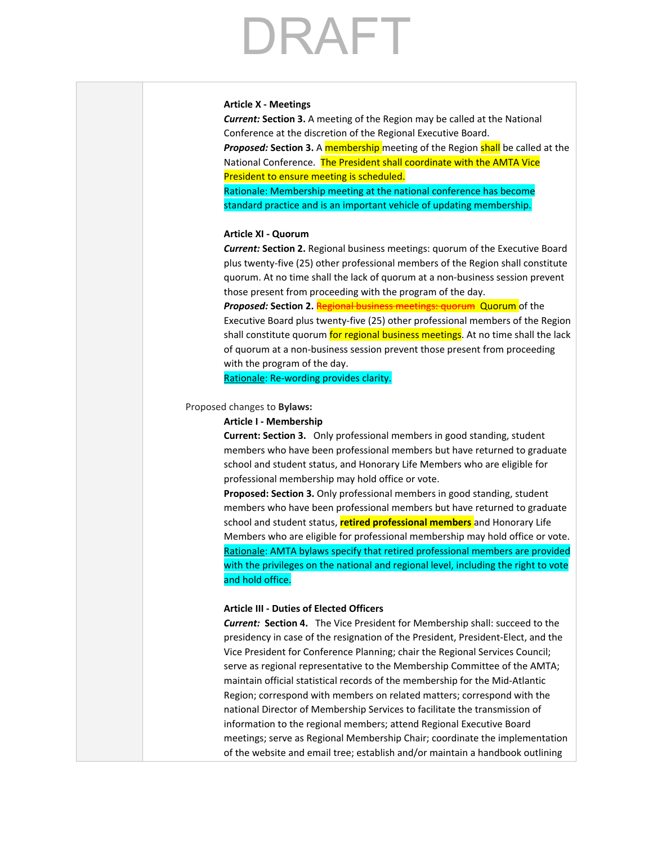### **Article X - Meetings**

*Current:* **Section 3.** A meeting of the Region may be called at the National Conference at the discretion of the Regional Executive Board.

**Proposed: Section 3.** A membership meeting of the Region shall be called at the National Conference. The President shall coordinate with the AMTA Vice President to ensure meeting is scheduled.

Rationale: Membership meeting at the national conference has become standard practice and is an important vehicle of updating membership.

### **Article XI - Quorum**

*Current:* **Section 2.** Regional business meetings: quorum of the Executive Board plus twenty-five (25) other professional members of the Region shall constitute quorum. At no time shall the lack of quorum at a non-business session prevent those present from proceeding with the program of the day.

*Proposed:* **Section 2. Regional business meetings: quorum Quorum** of the Executive Board plus twenty-five (25) other professional members of the Region shall constitute quorum for regional business meetings. At no time shall the lack of quorum at a non-business session prevent those present from proceeding with the program of the day.

Rationale: Re-wording provides clarity.

### Proposed changes to **Bylaws:**

### **Article I - Membership**

**Current: Section 3.** Only professional members in good standing, student members who have been professional members but have returned to graduate school and student status, and Honorary Life Members who are eligible for professional membership may hold office or vote.

**Proposed: Section 3.** Only professional members in good standing, student members who have been professional members but have returned to graduate school and student status, **retired professional members** and Honorary Life Members who are eligible for professional membership may hold office or vote. Rationale: AMTA bylaws specify that retired professional members are provided with the privileges on the national and regional level, including the right to vote and hold office.

### **Article III - Duties of Elected Officers**

*Current:* **Section 4.** The Vice President for Membership shall: succeed to the presidency in case of the resignation of the President, President-Elect, and the Vice President for Conference Planning; chair the Regional Services Council; serve as regional representative to the Membership Committee of the AMTA; maintain official statistical records of the membership for the Mid-Atlantic Region; correspond with members on related matters; correspond with the national Director of Membership Services to facilitate the transmission of information to the regional members; attend Regional Executive Board meetings; serve as Regional Membership Chair; coordinate the implementation of the website and email tree; establish and/or maintain a handbook outlining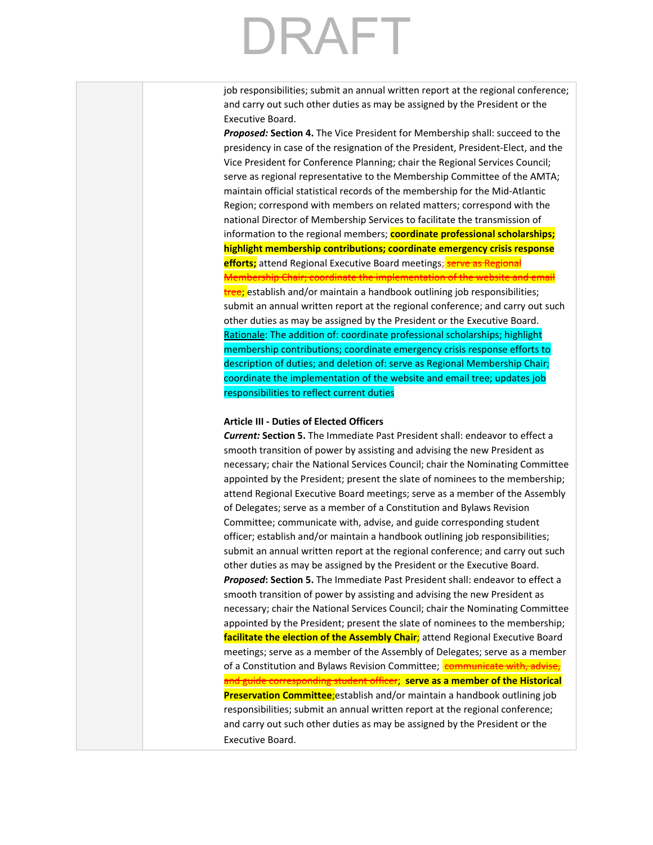job responsibilities; submit an annual written report at the regional conference; and carry out such other duties as may be assigned by the President or the Executive Board.

*Proposed:* **Section 4.** The Vice President for Membership shall: succeed to the presidency in case of the resignation of the President, President-Elect, and the Vice President for Conference Planning; chair the Regional Services Council; serve as regional representative to the Membership Committee of the AMTA; maintain official statistical records of the membership for the Mid-Atlantic Region; correspond with members on related matters; correspond with the national Director of Membership Services to facilitate the transmission of information to the regional members; **coordinate professional scholarships; highlight membership contributions; coordinate emergency crisis response efforts;** attend Regional Executive Board meetings; **serve as Regional** Membership Chair; coordinate the implementation of the website and email tree; establish and/or maintain a handbook outlining job responsibilities; submit an annual written report at the regional conference; and carry out such other duties as may be assigned by the President or the Executive Board. Rationale: The addition of: coordinate professional scholarships; highlight membership contributions; coordinate emergency crisis response efforts to description of duties; and deletion of: serve as Regional Membership Chair; coordinate the implementation of the website and email tree; updates job responsibilities to reflect current duties

### **Article III - Duties of Elected Officers**

*Current:* **Section 5.** The Immediate Past President shall: endeavor to effect a smooth transition of power by assisting and advising the new President as necessary; chair the National Services Council; chair the Nominating Committee appointed by the President; present the slate of nominees to the membership; attend Regional Executive Board meetings; serve as a member of the Assembly of Delegates; serve as a member of a Constitution and Bylaws Revision Committee; communicate with, advise, and guide corresponding student officer; establish and/or maintain a handbook outlining job responsibilities; submit an annual written report at the regional conference; and carry out such other duties as may be assigned by the President or the Executive Board. *Proposed***: Section 5.** The Immediate Past President shall: endeavor to effect a smooth transition of power by assisting and advising the new President as necessary; chair the National Services Council; chair the Nominating Committee appointed by the President; present the slate of nominees to the membership; **facilitate the election of the Assembly Chair**; attend Regional Executive Board meetings; serve as a member of the Assembly of Delegates; serve as a member of a Constitution and Bylaws Revision Committee; communicate with, advise, and guide corresponding student officer; **serve as a member of the Historical Preservation Committee**;establish and/or maintain a handbook outlining job responsibilities; submit an annual written report at the regional conference; and carry out such other duties as may be assigned by the President or the Executive Board.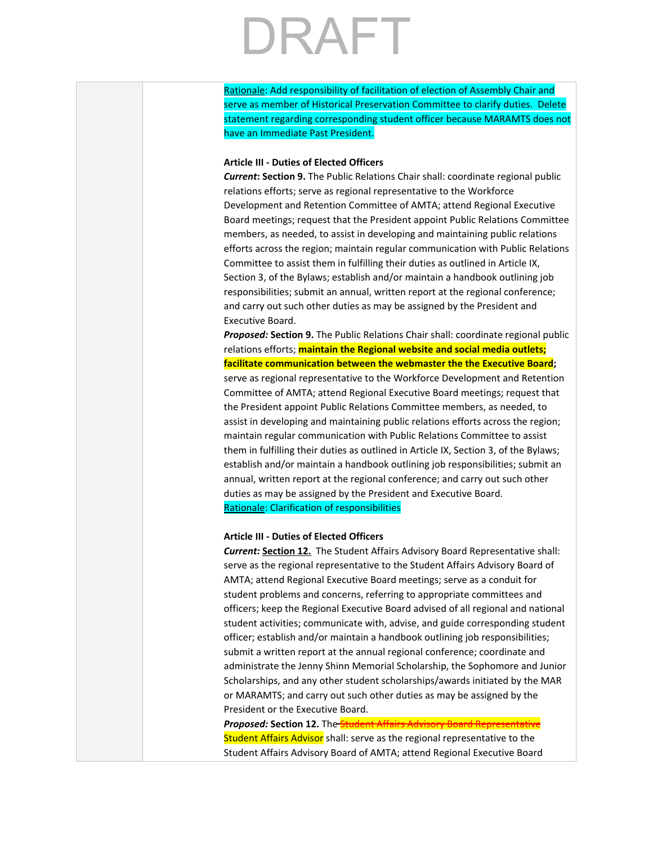Rationale: Add responsibility of facilitation of election of Assembly Chair and serve as member of Historical Preservation Committee to clarify duties. Delete statement regarding corresponding student officer because MARAMTS does not have an Immediate Past President.

### **Article III - Duties of Elected Officers**

*Current***: Section 9.** The Public Relations Chair shall: coordinate regional public relations efforts; serve as regional representative to the Workforce Development and Retention Committee of AMTA; attend Regional Executive Board meetings; request that the President appoint Public Relations Committee members, as needed, to assist in developing and maintaining public relations efforts across the region; maintain regular communication with Public Relations Committee to assist them in fulfilling their duties as outlined in Article IX, Section 3, of the Bylaws; establish and/or maintain a handbook outlining job responsibilities; submit an annual, written report at the regional conference; and carry out such other duties as may be assigned by the President and Executive Board.

*Proposed:* **Section 9.** The Public Relations Chair shall: coordinate regional public relations efforts; **maintain the Regional website and social media outlets; facilitate communication between the webmaster the the Executive Board;** serve as regional representative to the Workforce Development and Retention Committee of AMTA; attend Regional Executive Board meetings; request that the President appoint Public Relations Committee members, as needed, to assist in developing and maintaining public relations efforts across the region; maintain regular communication with Public Relations Committee to assist them in fulfilling their duties as outlined in Article IX, Section 3, of the Bylaws; establish and/or maintain a handbook outlining job responsibilities; submit an annual, written report at the regional conference; and carry out such other duties as may be assigned by the President and Executive Board. Rationale: Clarification of responsibilities

### **Article III - Duties of Elected Officers**

*Current:* **Section 12.** The Student Affairs Advisory Board Representative shall: serve as the regional representative to the Student Affairs Advisory Board of AMTA; attend Regional Executive Board meetings; serve as a conduit for student problems and concerns, referring to appropriate committees and officers; keep the Regional Executive Board advised of all regional and national student activities; communicate with, advise, and guide corresponding student officer; establish and/or maintain a handbook outlining job responsibilities; submit a written report at the annual regional conference; coordinate and administrate the Jenny Shinn Memorial Scholarship, the Sophomore and Junior Scholarships, and any other student scholarships/awards initiated by the MAR or MARAMTS; and carry out such other duties as may be assigned by the President or the Executive Board.

**Proposed: Section 12.** The **Student Affairs Advisory Board Representative** Student Affairs Advisor shall: serve as the regional representative to the Student Affairs Advisory Board of AMTA; attend Regional Executive Board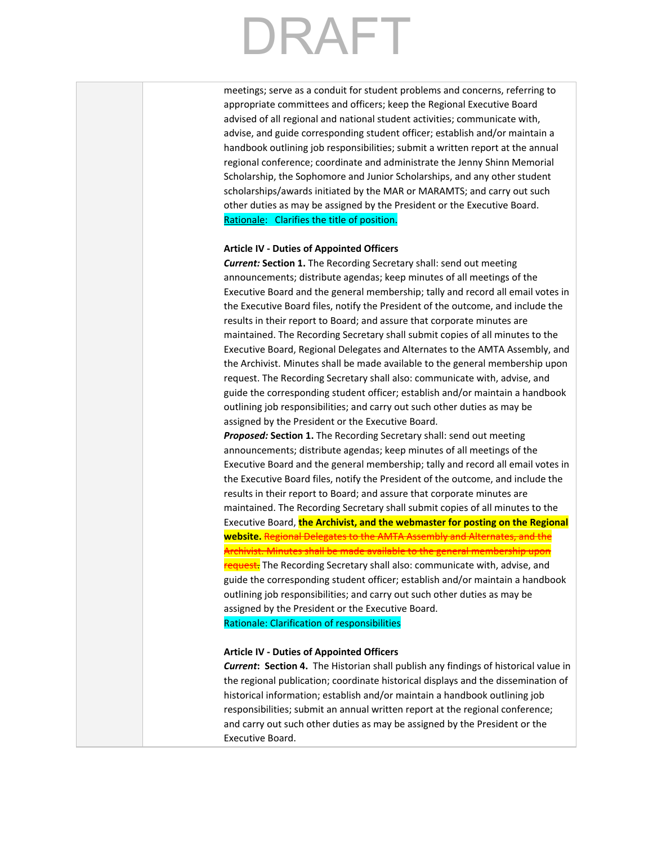meetings; serve as a conduit for student problems and concerns, referring to appropriate committees and officers; keep the Regional Executive Board advised of all regional and national student activities; communicate with, advise, and guide corresponding student officer; establish and/or maintain a handbook outlining job responsibilities; submit a written report at the annual regional conference; coordinate and administrate the Jenny Shinn Memorial Scholarship, the Sophomore and Junior Scholarships, and any other student scholarships/awards initiated by the MAR or MARAMTS; and carry out such other duties as may be assigned by the President or the Executive Board. Rationale: Clarifies the title of position.

### **Article IV - Duties of Appointed Officers**

*Current:* **Section 1.** The Recording Secretary shall: send out meeting announcements; distribute agendas; keep minutes of all meetings of the Executive Board and the general membership; tally and record all email votes in the Executive Board files, notify the President of the outcome, and include the results in their report to Board; and assure that corporate minutes are maintained. The Recording Secretary shall submit copies of all minutes to the Executive Board, Regional Delegates and Alternates to the AMTA Assembly, and the Archivist. Minutes shall be made available to the general membership upon request. The Recording Secretary shall also: communicate with, advise, and guide the corresponding student officer; establish and/or maintain a handbook outlining job responsibilities; and carry out such other duties as may be assigned by the President or the Executive Board.

*Proposed:* **Section 1.** The Recording Secretary shall: send out meeting announcements; distribute agendas; keep minutes of all meetings of the Executive Board and the general membership; tally and record all email votes in the Executive Board files, notify the President of the outcome, and include the results in their report to Board; and assure that corporate minutes are maintained. The Recording Secretary shall submit copies of all minutes to the Executive Board, **the Archivist, and the webmaster for posting on the Regional website.** Regional Delegates to the AMTA Assembly and Alternates, and the Archivist. Minutes shall be made available to the general membership upon request. The Recording Secretary shall also: communicate with, advise, and guide the corresponding student officer; establish and/or maintain a handbook outlining job responsibilities; and carry out such other duties as may be

assigned by the President or the Executive Board. Rationale: Clarification of responsibilities

### **Article IV - Duties of Appointed Officers**

*Current***: Section 4.** The Historian shall publish any findings of historical value in the regional publication; coordinate historical displays and the dissemination of historical information; establish and/or maintain a handbook outlining job responsibilities; submit an annual written report at the regional conference; and carry out such other duties as may be assigned by the President or the Executive Board.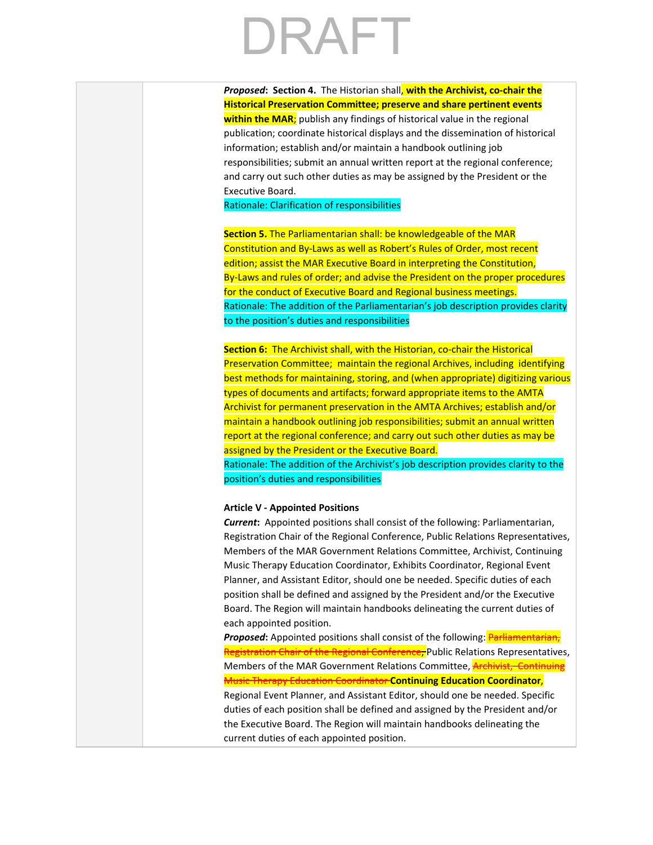*Proposed***: Section 4.** The Historian shall, **with the Archivist, co-chair the Historical Preservation Committee; preserve and share pertinent events within the MAR**; publish any findings of historical value in the regional publication; coordinate historical displays and the dissemination of historical information; establish and/or maintain a handbook outlining job responsibilities; submit an annual written report at the regional conference; and carry out such other duties as may be assigned by the President or the Executive Board.

Rationale: Clarification of responsibilities

**Section 5.** The Parliamentarian shall: be knowledgeable of the MAR Constitution and By-Laws as well as Robert's Rules of Order, most recent edition; assist the MAR Executive Board in interpreting the Constitution, By-Laws and rules of order; and advise the President on the proper procedures for the conduct of Executive Board and Regional business meetings. Rationale: The addition of the Parliamentarian's job description provides clarity to the position's duties and responsibilities

**Section 6:** The Archivist shall, with the Historian, co-chair the Historical Preservation Committee; maintain the regional Archives, including identifying best methods for maintaining, storing, and (when appropriate) digitizing various types of documents and artifacts; forward appropriate items to the AMTA Archivist for permanent preservation in the AMTA Archives; establish and/or maintain a handbook outlining job responsibilities; submit an annual written report at the regional conference; and carry out such other duties as may be assigned by the President or the Executive Board.

Rationale: The addition of the Archivist's job description provides clarity to the position's duties and responsibilities

### **Article V - Appointed Positions**

*Current***:** Appointed positions shall consist of the following: Parliamentarian, Registration Chair of the Regional Conference, Public Relations Representatives, Members of the MAR Government Relations Committee, Archivist, Continuing Music Therapy Education Coordinator, Exhibits Coordinator, Regional Event Planner, and Assistant Editor, should one be needed. Specific duties of each position shall be defined and assigned by the President and/or the Executive Board. The Region will maintain handbooks delineating the current duties of each appointed position.

**Proposed:** Appointed positions shall consist of the following: Parliamentarian, Registration Chair of the Regional Conference, Public Relations Representatives, Members of the MAR Government Relations Committee, **Archivist, Continuing** Music Therapy Education Coordinator **Continuing Education Coordinator**, Regional Event Planner, and Assistant Editor, should one be needed. Specific duties of each position shall be defined and assigned by the President and/or the Executive Board. The Region will maintain handbooks delineating the current duties of each appointed position.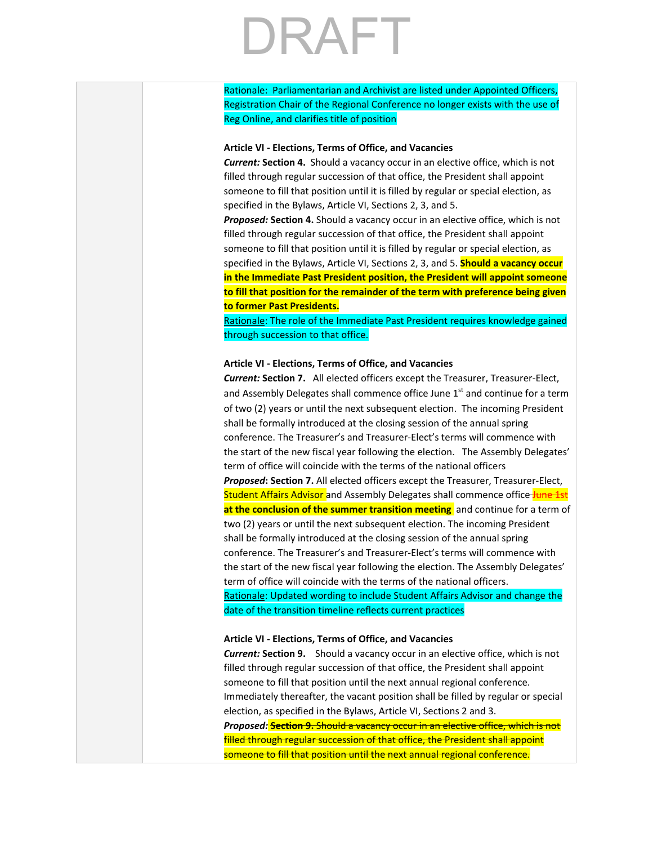Rationale: Parliamentarian and Archivist are listed under Appointed Officers, Registration Chair of the Regional Conference no longer exists with the use of Reg Online, and clarifies title of position

### **Article VI - Elections, Terms of Office, and Vacancies**

*Current:* **Section 4.** Should a vacancy occur in an elective office, which is not filled through regular succession of that office, the President shall appoint someone to fill that position until it is filled by regular or special election, as specified in the Bylaws, Article VI, Sections 2, 3, and 5.

*Proposed:* **Section 4.** Should a vacancy occur in an elective office, which is not filled through regular succession of that office, the President shall appoint someone to fill that position until it is filled by regular or special election, as specified in the Bylaws, Article VI, Sections 2, 3, and 5. **Should a vacancy occur in the Immediate Past President position, the President will appoint someone to fill that position for the remainder of the term with preference being given to former Past Presidents.**

Rationale: The role of the Immediate Past President requires knowledge gained through succession to that office.

### **Article VI - Elections, Terms of Office, and Vacancies**

*Current:* **Section 7.** All elected officers except the Treasurer, Treasurer-Elect, and Assembly Delegates shall commence office June 1<sup>st</sup> and continue for a term of two (2) years or until the next subsequent election. The incoming President shall be formally introduced at the closing session of the annual spring conference. The Treasurer's and Treasurer-Elect's terms will commence with the start of the new fiscal year following the election. The Assembly Delegates' term of office will coincide with the terms of the national officers *Proposed***: Section 7.** All elected officers except the Treasurer, Treasurer-Elect, Student Affairs Advisor and Assembly Delegates shall commence office June 1st **at the conclusion of the summer transition meeting** and continue for a term of two (2) years or until the next subsequent election. The incoming President shall be formally introduced at the closing session of the annual spring conference. The Treasurer's and Treasurer-Elect's terms will commence with the start of the new fiscal year following the election. The Assembly Delegates' term of office will coincide with the terms of the national officers.

Rationale: Updated wording to include Student Affairs Advisor and change the date of the transition timeline reflects current practices

### **Article VI - Elections, Terms of Office, and Vacancies**

*Current:* **Section 9.** Should a vacancy occur in an elective office, which is not filled through regular succession of that office, the President shall appoint someone to fill that position until the next annual regional conference. Immediately thereafter, the vacant position shall be filled by regular or special election, as specified in the Bylaws, Article VI, Sections 2 and 3.

*Proposed:* **Section 9.** Should a vacancy occur in an elective office, which is not filled through regular succession of that office, the President shall appoint someone to fill that position until the next annual regional conference.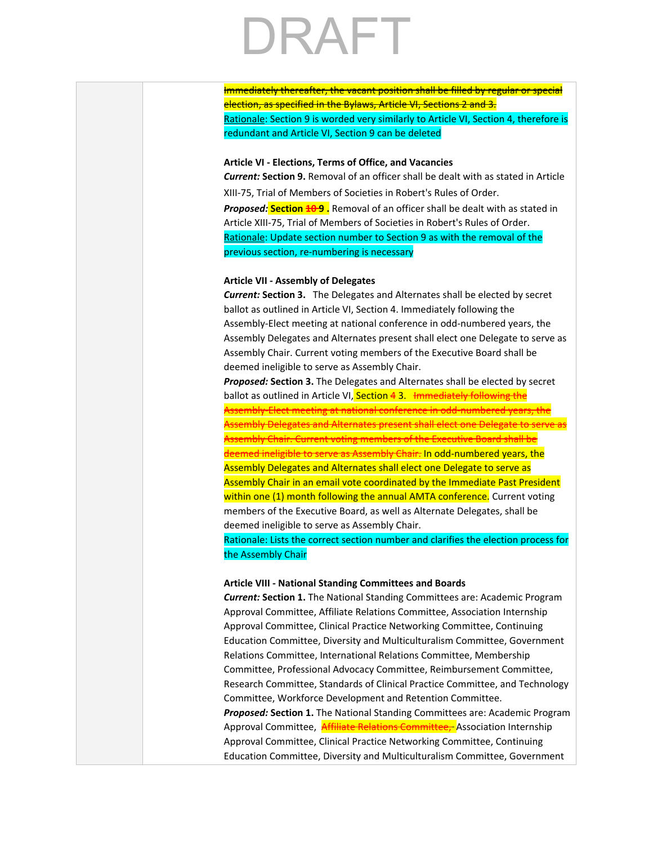Immediately thereafter, the vacant position shall be filled by regular or special election, as specified in the Bylaws, Article VI, Sections 2 and 3. Rationale: Section 9 is worded very similarly to Article VI, Section 4, therefore is redundant and Article VI, Section 9 can be deleted

### **Article VI - Elections, Terms of Office, and Vacancies**

*Current:* **Section 9.** Removal of an officer shall be dealt with as stated in Article XIII-75, Trial of Members of Societies in Robert's Rules of Order. *Proposed:* **Section 10 9 .** Removal of an officer shall be dealt with as stated in Article XIII-75, Trial of Members of Societies in Robert's Rules of Order. Rationale: Update section number to Section 9 as with the removal of the previous section, re-numbering is necessary

### **Article VII - Assembly of Delegates**

*Current:* **Section 3.** The Delegates and Alternates shall be elected by secret ballot as outlined in Article VI, Section 4. Immediately following the Assembly-Elect meeting at national conference in odd-numbered years, the Assembly Delegates and Alternates present shall elect one Delegate to serve as Assembly Chair. Current voting members of the Executive Board shall be deemed ineligible to serve as Assembly Chair.

*Proposed:* **Section 3.** The Delegates and Alternates shall be elected by secret ballot as outlined in Article VI, Section 43. Immediately following the Assembly-Elect meeting at national conference in odd-numbered years, the Assembly Delegates and Alternates present shall elect one Delegate to serve as Assembly Chair. Current voting members of the Executive Board shall be deemed ineligible to serve as Assembly Chair. In odd-numbered years, the Assembly Delegates and Alternates shall elect one Delegate to serve as Assembly Chair in an email vote coordinated by the Immediate Past President within one (1) month following the annual AMTA conference. Current voting members of the Executive Board, as well as Alternate Delegates, shall be deemed ineligible to serve as Assembly Chair.

Rationale: Lists the correct section number and clarifies the election process for the Assembly Chair

### **Article VIII - National Standing Committees and Boards**

*Current:* **Section 1.** The National Standing Committees are: Academic Program Approval Committee, Affiliate Relations Committee, Association Internship Approval Committee, Clinical Practice Networking Committee, Continuing Education Committee, Diversity and Multiculturalism Committee, Government Relations Committee, International Relations Committee, Membership Committee, Professional Advocacy Committee, Reimbursement Committee, Research Committee, Standards of Clinical Practice Committee, and Technology Committee, Workforce Development and Retention Committee. *Proposed:* **Section 1.** The National Standing Committees are: Academic Program Approval Committee, **Affiliate Relations Committee,** Association Internship Approval Committee, Clinical Practice Networking Committee, Continuing Education Committee, Diversity and Multiculturalism Committee, Government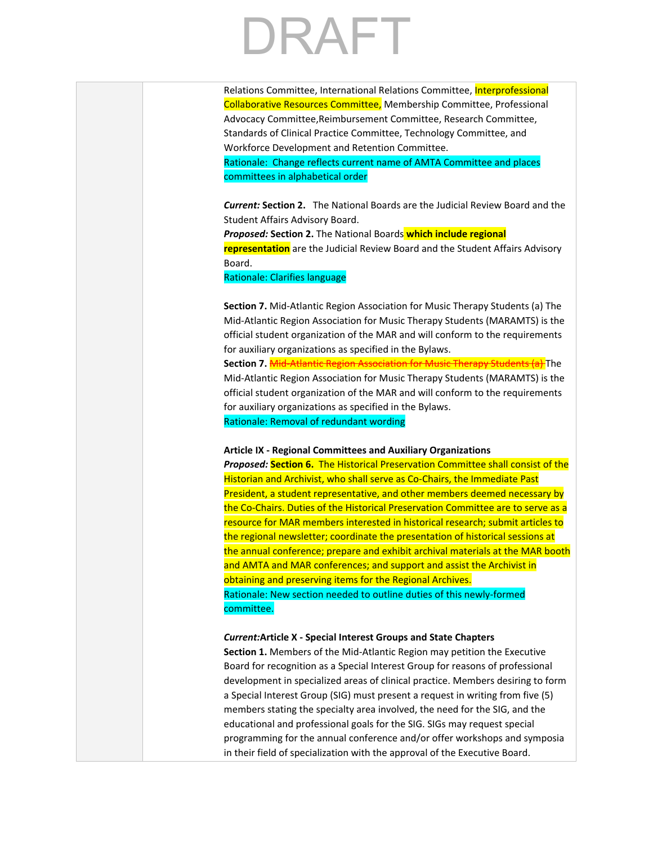Relations Committee, International Relations Committee, Interprofessional Collaborative Resources Committee, Membership Committee, Professional Advocacy Committee,Reimbursement Committee, Research Committee, Standards of Clinical Practice Committee, Technology Committee, and Workforce Development and Retention Committee.

Rationale: Change reflects current name of AMTA Committee and places committees in alphabetical order

*Current:* **Section 2.** The National Boards are the Judicial Review Board and the Student Affairs Advisory Board.

*Proposed:* **Section 2.** The National Boards **which include regional representation** are the Judicial Review Board and the Student Affairs Advisory Board.

Rationale: Clarifies language

**Section 7.** Mid-Atlantic Region Association for Music Therapy Students (a) The Mid-Atlantic Region Association for Music Therapy Students (MARAMTS) is the official student organization of the MAR and will conform to the requirements for auxiliary organizations as specified in the Bylaws.

**Section 7.** Mid-Atlantic Region Association for Music Therapy Students (a) The Mid-Atlantic Region Association for Music Therapy Students (MARAMTS) is the official student organization of the MAR and will conform to the requirements for auxiliary organizations as specified in the Bylaws.

Rationale: Removal of redundant wording

### **Article IX - Regional Committees and Auxiliary Organizations**

*Proposed:* **Section 6.** The Historical Preservation Committee shall consist of the Historian and Archivist, who shall serve as Co-Chairs, the Immediate Past President, a student representative, and other members deemed necessary by the Co-Chairs. Duties of the Historical Preservation Committee are to serve as a resource for MAR members interested in historical research; submit articles to the regional newsletter; coordinate the presentation of historical sessions at the annual conference; prepare and exhibit archival materials at the MAR booth and AMTA and MAR conferences; and support and assist the Archivist in obtaining and preserving items for the Regional Archives. Rationale: New section needed to outline duties of this newly-formed committee.

### *Current:***Article X - Special Interest Groups and State Chapters**

**Section 1.** Members of the Mid-Atlantic Region may petition the Executive Board for recognition as a Special Interest Group for reasons of professional development in specialized areas of clinical practice. Members desiring to form a Special Interest Group (SIG) must present a request in writing from five (5) members stating the specialty area involved, the need for the SIG, and the educational and professional goals for the SIG. SIGs may request special programming for the annual conference and/or offer workshops and symposia in their field of specialization with the approval of the Executive Board.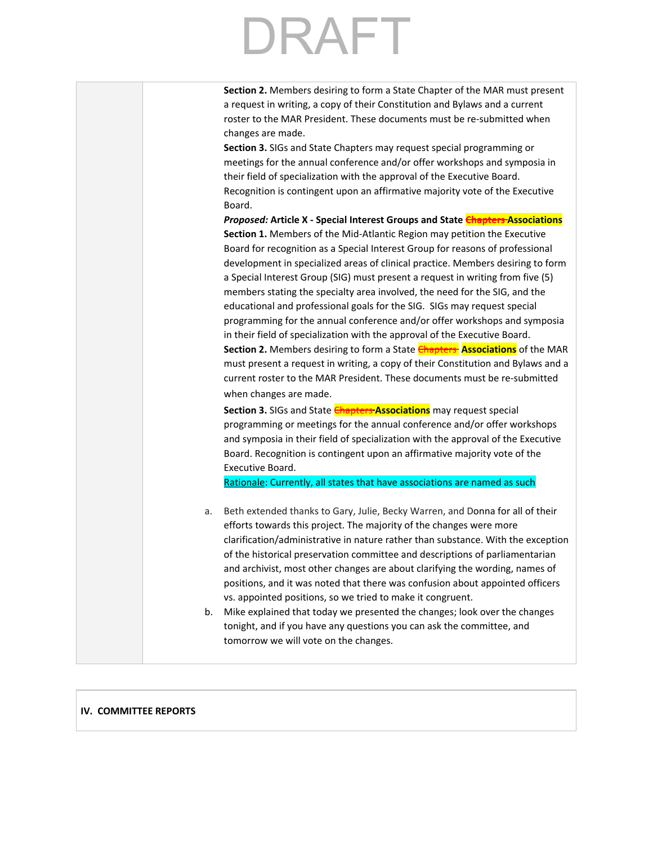|          | Section 2. Members desiring to form a State Chapter of the MAR must present<br>a request in writing, a copy of their Constitution and Bylaws and a current<br>roster to the MAR President. These documents must be re-submitted when<br>changes are made.<br>Section 3. SIGs and State Chapters may request special programming or<br>meetings for the annual conference and/or offer workshops and symposia in<br>their field of specialization with the approval of the Executive Board.<br>Recognition is contingent upon an affirmative majority vote of the Executive<br>Board.<br>Proposed: Article X - Special Interest Groups and State Chapters Associations<br>Section 1. Members of the Mid-Atlantic Region may petition the Executive<br>Board for recognition as a Special Interest Group for reasons of professional<br>development in specialized areas of clinical practice. Members desiring to form |
|----------|-----------------------------------------------------------------------------------------------------------------------------------------------------------------------------------------------------------------------------------------------------------------------------------------------------------------------------------------------------------------------------------------------------------------------------------------------------------------------------------------------------------------------------------------------------------------------------------------------------------------------------------------------------------------------------------------------------------------------------------------------------------------------------------------------------------------------------------------------------------------------------------------------------------------------|
|          | a Special Interest Group (SIG) must present a request in writing from five (5)<br>members stating the specialty area involved, the need for the SIG, and the<br>educational and professional goals for the SIG. SIGs may request special<br>programming for the annual conference and/or offer workshops and symposia<br>in their field of specialization with the approval of the Executive Board.<br>Section 2. Members desiring to form a State <b>Chapters Associations</b> of the MAR<br>must present a request in writing, a copy of their Constitution and Bylaws and a<br>current roster to the MAR President. These documents must be re-submitted<br>when changes are made.<br>Section 3. SIGs and State <b>Chapters Associations</b> may request special                                                                                                                                                   |
|          | programming or meetings for the annual conference and/or offer workshops<br>and symposia in their field of specialization with the approval of the Executive<br>Board. Recognition is contingent upon an affirmative majority vote of the<br>Executive Board.<br>Rationale: Currently, all states that have associations are named as such                                                                                                                                                                                                                                                                                                                                                                                                                                                                                                                                                                            |
| a.<br>b. | Beth extended thanks to Gary, Julie, Becky Warren, and Donna for all of their<br>efforts towards this project. The majority of the changes were more<br>clarification/administrative in nature rather than substance. With the exception<br>of the historical preservation committee and descriptions of parliamentarian<br>and archivist, most other changes are about clarifying the wording, names of<br>positions, and it was noted that there was confusion about appointed officers<br>vs. appointed positions, so we tried to make it congruent.<br>Mike explained that today we presented the changes; look over the changes<br>tonight, and if you have any questions you can ask the committee, and<br>tomorrow we will vote on the changes.                                                                                                                                                                |
|          |                                                                                                                                                                                                                                                                                                                                                                                                                                                                                                                                                                                                                                                                                                                                                                                                                                                                                                                       |

### **IV. COMMITTEE REPORTS**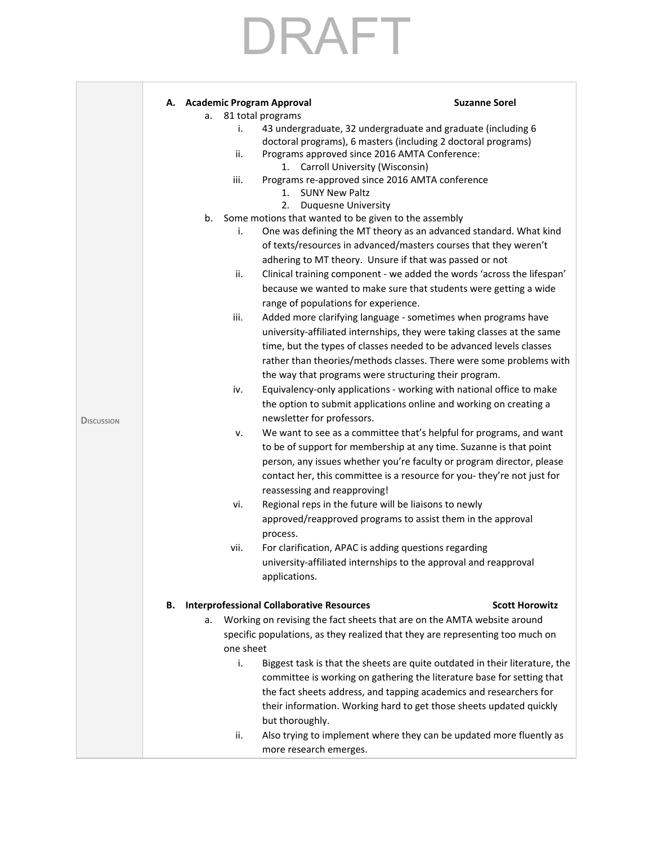|                   | A. Academic Program Approval                           |                                                                               | <b>Suzanne Sorel</b>  |
|-------------------|--------------------------------------------------------|-------------------------------------------------------------------------------|-----------------------|
|                   | 81 total programs<br>а.                                |                                                                               |                       |
|                   | i.                                                     | 43 undergraduate, 32 undergraduate and graduate (including 6                  |                       |
|                   |                                                        | doctoral programs), 6 masters (including 2 doctoral programs)                 |                       |
|                   | ii.                                                    | Programs approved since 2016 AMTA Conference:                                 |                       |
|                   |                                                        | 1. Carroll University (Wisconsin)                                             |                       |
|                   | iii.<br>1.                                             | Programs re-approved since 2016 AMTA conference<br><b>SUNY New Paltz</b>      |                       |
|                   | 2.                                                     | Duquesne University                                                           |                       |
|                   | b.                                                     | Some motions that wanted to be given to the assembly                          |                       |
|                   | i.                                                     | One was defining the MT theory as an advanced standard. What kind             |                       |
|                   |                                                        | of texts/resources in advanced/masters courses that they weren't              |                       |
|                   |                                                        | adhering to MT theory. Unsure if that was passed or not                       |                       |
|                   | ii.                                                    | Clinical training component - we added the words 'across the lifespan'        |                       |
|                   |                                                        | because we wanted to make sure that students were getting a wide              |                       |
|                   |                                                        | range of populations for experience.                                          |                       |
|                   | iii.                                                   | Added more clarifying language - sometimes when programs have                 |                       |
|                   |                                                        | university-affiliated internships, they were taking classes at the same       |                       |
|                   |                                                        | time, but the types of classes needed to be advanced levels classes           |                       |
|                   |                                                        | rather than theories/methods classes. There were some problems with           |                       |
|                   |                                                        | the way that programs were structuring their program.                         |                       |
|                   | iv.                                                    | Equivalency-only applications - working with national office to make          |                       |
|                   |                                                        | the option to submit applications online and working on creating a            |                       |
| <b>DISCUSSION</b> |                                                        | newsletter for professors.                                                    |                       |
|                   | ۷.                                                     | We want to see as a committee that's helpful for programs, and want           |                       |
|                   |                                                        | to be of support for membership at any time. Suzanne is that point            |                       |
|                   |                                                        | person, any issues whether you're faculty or program director, please         |                       |
|                   |                                                        | contact her, this committee is a resource for you-they're not just for        |                       |
|                   |                                                        | reassessing and reapproving!                                                  |                       |
|                   | vi.                                                    | Regional reps in the future will be liaisons to newly                         |                       |
|                   |                                                        | approved/reapproved programs to assist them in the approval                   |                       |
|                   | process.                                               |                                                                               |                       |
|                   | vii.                                                   | For clarification, APAC is adding questions regarding                         |                       |
|                   |                                                        | university-affiliated internships to the approval and reapproval              |                       |
|                   |                                                        | applications.                                                                 |                       |
|                   | <b>Interprofessional Collaborative Resources</b><br>В. |                                                                               | <b>Scott Horowitz</b> |
|                   | а.                                                     | Working on revising the fact sheets that are on the AMTA website around       |                       |
|                   |                                                        | specific populations, as they realized that they are representing too much on |                       |
|                   | one sheet                                              |                                                                               |                       |
|                   | i.                                                     | Biggest task is that the sheets are quite outdated in their literature, the   |                       |
|                   |                                                        | committee is working on gathering the literature base for setting that        |                       |
|                   |                                                        | the fact sheets address, and tapping academics and researchers for            |                       |
|                   |                                                        | their information. Working hard to get those sheets updated quickly           |                       |
|                   |                                                        | but thoroughly.                                                               |                       |
|                   | ii.                                                    | Also trying to implement where they can be updated more fluently as           |                       |
|                   |                                                        | more research emerges.                                                        |                       |
|                   |                                                        |                                                                               |                       |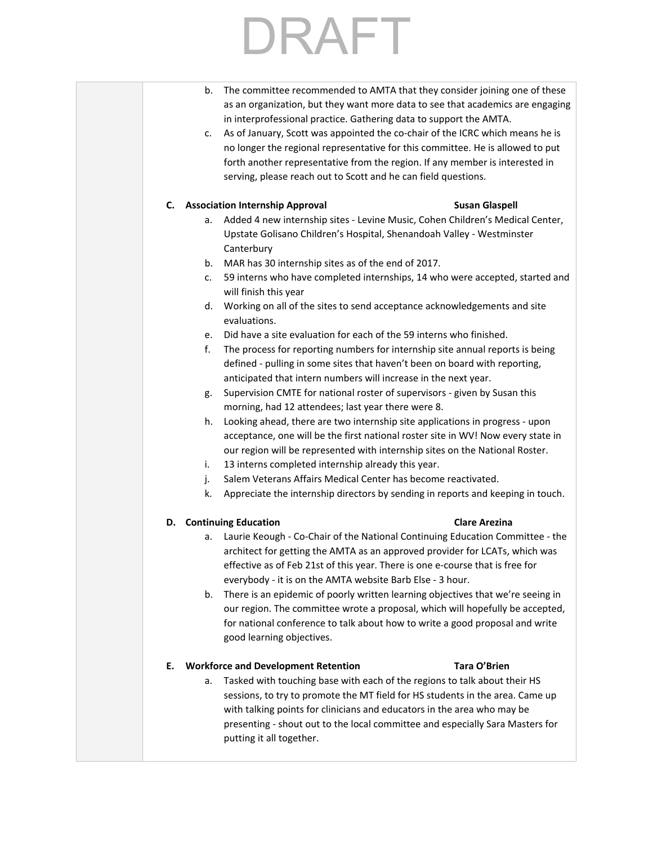b. The committee recommended to AMTA that they consider joining one of these as an organization, but they want more data to see that academics are engaging in interprofessional practice. Gathering data to support the AMTA. c. As of January, Scott was appointed the co-chair of the ICRC which means he is no longer the regional representative for this committee. He is allowed to put forth another representative from the region. If any member is interested in serving, please reach out to Scott and he can field questions. **C. Association Internship Approval Susan Glaspell** a. Added 4 new internship sites - Levine Music, Cohen Children's Medical Center, Upstate Golisano Children's Hospital, Shenandoah Valley - Westminster **Canterbury** b. MAR has 30 internship sites as of the end of 2017. c. 59 interns who have completed internships, 14 who were accepted, started and will finish this year d. Working on all of the sites to send acceptance acknowledgements and site evaluations. e. Did have a site evaluation for each of the 59 interns who finished. f. The process for reporting numbers for internship site annual reports is being defined - pulling in some sites that haven't been on board with reporting, anticipated that intern numbers will increase in the next year. g. Supervision CMTE for national roster of supervisors - given by Susan this morning, had 12 attendees; last year there were 8. h. Looking ahead, there are two internship site applications in progress - upon acceptance, one will be the first national roster site in WV! Now every state in our region will be represented with internship sites on the National Roster. i. 13 interns completed internship already this year. j. Salem Veterans Affairs Medical Center has become reactivated. k. Appreciate the internship directors by sending in reports and keeping in touch. **D. Continuing Education Clare Arezina** a. Laurie Keough - Co-Chair of the National Continuing Education Committee - the architect for getting the AMTA as an approved provider for LCATs, which was effective as of Feb 21st of this year. There is one e-course that is free for everybody - it is on the AMTA website Barb Else - 3 hour. b. There is an epidemic of poorly written learning objectives that we're seeing in our region. The committee wrote a proposal, which will hopefully be accepted, for national conference to talk about how to write a good proposal and write good learning objectives. **E. Workforce and Development Retention Tara O'Brien** a. Tasked with touching base with each of the regions to talk about their HS sessions, to try to promote the MT field for HS students in the area. Came up with talking points for clinicians and educators in the area who may be presenting - shout out to the local committee and especially Sara Masters for putting it all together.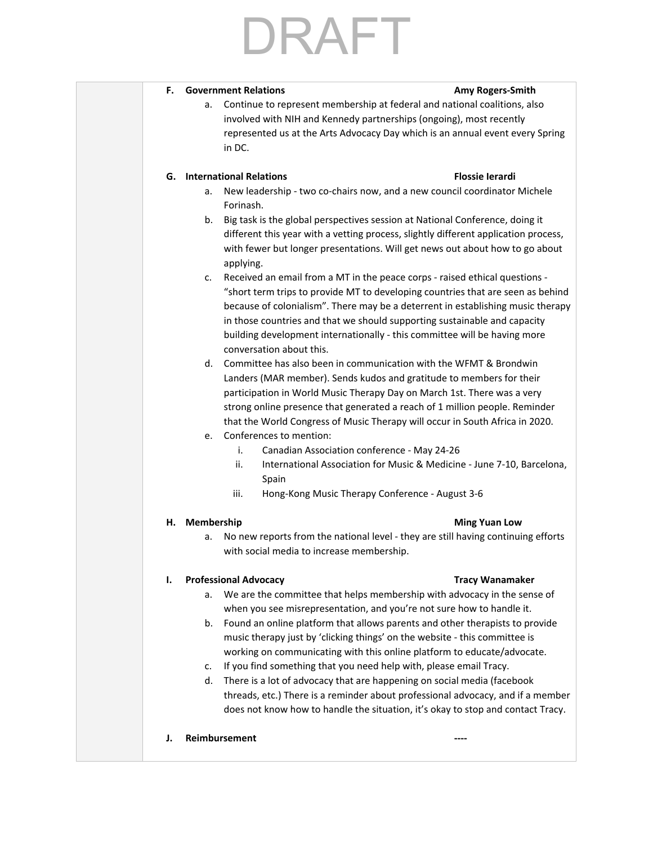# RAFT

### **F. Government Relations Amy Rogers-Smith**

a. Continue to represent membership at federal and national coalitions, also involved with NIH and Kennedy partnerships (ongoing), most recently represented us at the Arts Advocacy Day which is an annual event every Spring in DC.

### **G. International Relations Flossie Ierardi**

- a. New leadership two co-chairs now, and a new council coordinator Michele Forinash.
- b. Big task is the global perspectives session at National Conference, doing it different this year with a vetting process, slightly different application process, with fewer but longer presentations. Will get news out about how to go about applying.
- c. Received an email from a MT in the peace corps raised ethical questions "short term trips to provide MT to developing countries that are seen as behind because of colonialism". There may be a deterrent in establishing music therapy in those countries and that we should supporting sustainable and capacity building development internationally - this committee will be having more conversation about this.
- d. Committee has also been in communication with the WFMT & Brondwin Landers (MAR member). Sends kudos and gratitude to members for their participation in World Music Therapy Day on March 1st. There was a very strong online presence that generated a reach of 1 million people. Reminder that the World Congress of Music Therapy will occur in South Africa in 2020.
- e. Conferences to mention:
	- i. Canadian Association conference May 24-26
	- ii. International Association for Music & Medicine June 7-10, Barcelona, Spain
	- iii. Hong-Kong Music Therapy Conference August 3-6

### **H. Membership Ming Yuan Low**

a. No new reports from the national level - they are still having continuing efforts with social media to increase membership.

### **I. Professional Advocacy Tracy Wanamaker**

- a. We are the committee that helps membership with advocacy in the sense of when you see misrepresentation, and you're not sure how to handle it.
- b. Found an online platform that allows parents and other therapists to provide music therapy just by 'clicking things' on the website - this committee is working on communicating with this online platform to educate/advocate.
- c. If you find something that you need help with, please email Tracy.
- d. There is a lot of advocacy that are happening on social media (facebook threads, etc.) There is a reminder about professional advocacy, and if a member does not know how to handle the situation, it's okay to stop and contact Tracy.
- **J.** Reimbursement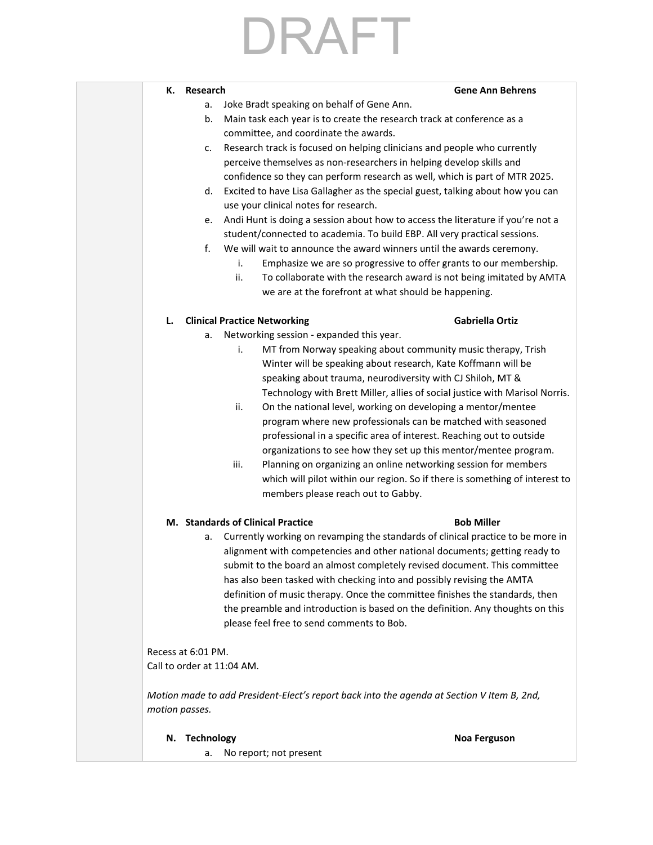|  |  | a. Joke Bradt speaking on behalf of Gene Ann. |
|--|--|-----------------------------------------------|
|--|--|-----------------------------------------------|

- b. Main task each year is to create the research track at conference as a committee, and coordinate the awards.
- c. Research track is focused on helping clinicians and people who currently perceive themselves as non-researchers in helping develop skills and confidence so they can perform research as well, which is part of MTR 2025.
- d. Excited to have Lisa Gallagher as the special guest, talking about how you can use your clinical notes for research.
- e. Andi Hunt is doing a session about how to access the literature if you're not a student/connected to academia. To build EBP. All very practical sessions.
- f. We will wait to announce the award winners until the awards ceremony.
	- i. Emphasize we are so progressive to offer grants to our membership.
	- ii. To collaborate with the research award is not being imitated by AMTA we are at the forefront at what should be happening.

### **L. Clinical Practice Networking Gabriella Ortiz**

**K. Research** 

- a. Networking session expanded this year.
	- i. MT from Norway speaking about community music therapy, Trish Winter will be speaking about research, Kate Koffmann will be speaking about trauma, neurodiversity with CJ Shiloh, MT & Technology with Brett Miller, allies of social justice with Marisol Norris.
	- ii. On the national level, working on developing a mentor/mentee program where new professionals can be matched with seasoned professional in a specific area of interest. Reaching out to outside organizations to see how they set up this mentor/mentee program.
	- iii. Planning on organizing an online networking session for members which will pilot within our region. So if there is something of interest to members please reach out to Gabby.

### **M. Standards of Clinical Practice Bob Miller**

a. Currently working on revamping the standards of clinical practice to be more in alignment with competencies and other national documents; getting ready to submit to the board an almost completely revised document. This committee has also been tasked with checking into and possibly revising the AMTA definition of music therapy. Once the committee finishes the standards, then the preamble and introduction is based on the definition. Any thoughts on this please feel free to send comments to Bob.

Recess at 6:01 PM. Call to order at 11:04 AM.

*Motion made to add President-Elect's report back into the agenda at Section V Item B, 2nd, motion passes.*

### **N. Technology Noa Ferguson**

a. No report; not present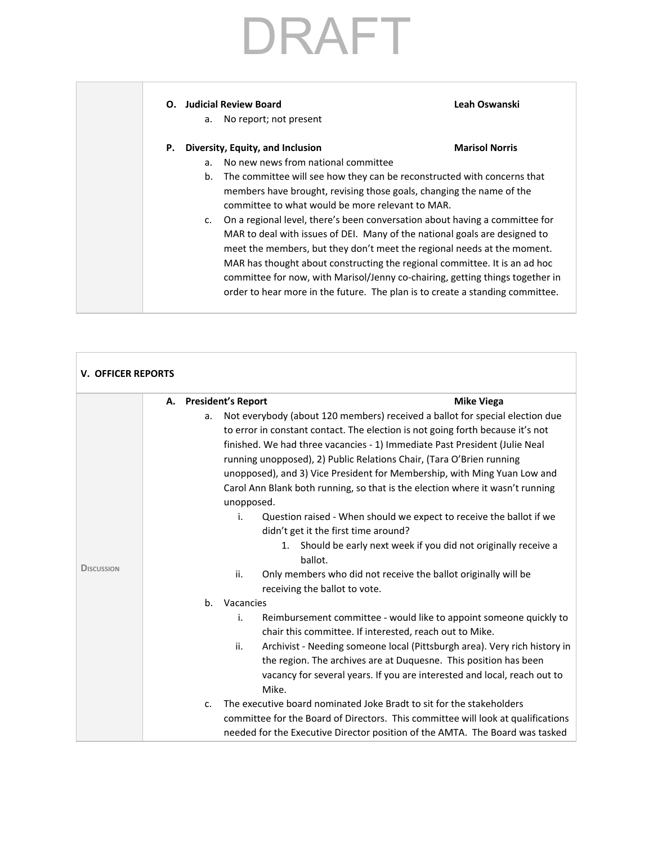### **O. Judicial Review Board Leah Oswanski**

a. No report; not present

### **P. Diversity, Equity, and Inclusion Marisol Norris**

- a. No new news from national committee
- b. The committee will see how they can be reconstructed with concerns that members have brought, revising those goals, changing the name of the committee to what would be more relevant to MAR.
- c. On a regional level, there's been conversation about having a committee for MAR to deal with issues of DEI. Many of the national goals are designed to meet the members, but they don't meet the regional needs at the moment. MAR has thought about constructing the regional committee. It is an ad hoc committee for now, with Marisol/Jenny co-chairing, getting things together in order to hear more in the future. The plan is to create a standing committee.

| <b>V. OFFICER REPORTS</b> |                                                                                                                                                                                                                                                                                                                                                                                                                                                                                                                                                                                                                                                                                                                                                                                                                                                                                |
|---------------------------|--------------------------------------------------------------------------------------------------------------------------------------------------------------------------------------------------------------------------------------------------------------------------------------------------------------------------------------------------------------------------------------------------------------------------------------------------------------------------------------------------------------------------------------------------------------------------------------------------------------------------------------------------------------------------------------------------------------------------------------------------------------------------------------------------------------------------------------------------------------------------------|
| <b>DISCUSSION</b>         | <b>President's Report</b><br><b>Mike Viega</b><br>А.<br>Not everybody (about 120 members) received a ballot for special election due<br>a.<br>to error in constant contact. The election is not going forth because it's not<br>finished. We had three vacancies - 1) Immediate Past President (Julie Neal<br>running unopposed), 2) Public Relations Chair, (Tara O'Brien running<br>unopposed), and 3) Vice President for Membership, with Ming Yuan Low and<br>Carol Ann Blank both running, so that is the election where it wasn't running<br>unopposed.<br>i.<br>Question raised - When should we expect to receive the ballot if we<br>didn't get it the first time around?<br>Should be early next week if you did not originally receive a<br>1.<br>ballot.<br>ii.<br>Only members who did not receive the ballot originally will be<br>receiving the ballot to vote. |
|                           | Vacancies<br>b.<br>Reimbursement committee - would like to appoint someone quickly to<br>i.<br>chair this committee. If interested, reach out to Mike.<br>Archivist - Needing someone local (Pittsburgh area). Very rich history in<br>ii.<br>the region. The archives are at Duquesne. This position has been<br>vacancy for several years. If you are interested and local, reach out to<br>Mike.<br>The executive board nominated Joke Bradt to sit for the stakeholders<br>c.<br>committee for the Board of Directors. This committee will look at qualifications<br>needed for the Executive Director position of the AMTA. The Board was tasked                                                                                                                                                                                                                          |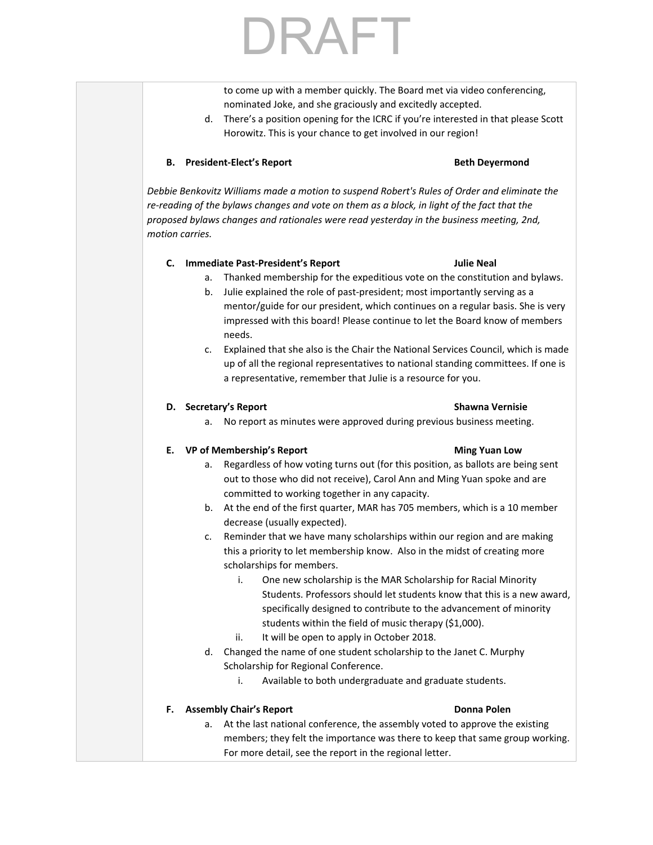## RAFT

to come up with a member quickly. The Board met via video conferencing, nominated Joke, and she graciously and excitedly accepted.

d. There's a position opening for the ICRC if you're interested in that please Scott Horowitz. This is your chance to get involved in our region!

### **B. President-Elect's Report Beth Deyermond**

*Debbie Benkovitz Williams made a motion to suspend Robert's Rules of Order and eliminate the re-reading of the bylaws changes and vote on them as a block, in light of the fact that the proposed bylaws changes and rationales were read yesterday in the business meeting, 2nd, motion carries.*

### **C. Immediate Past-President's Report Julie Neal**

- a. Thanked membership for the expeditious vote on the constitution and bylaws.
- b. Julie explained the role of past-president; most importantly serving as a mentor/guide for our president, which continues on a regular basis. She is very impressed with this board! Please continue to let the Board know of members needs.
- c. Explained that she also is the Chair the National Services Council, which is made up of all the regional representatives to national standing committees. If one is a representative, remember that Julie is a resource for you.

### **D. Secretary's Report Shawna Vernisie**

a. No report as minutes were approved during previous business meeting.

### **E. VP of Membership's Report Ming Yuan Low**

- a. Regardless of how voting turns out (for this position, as ballots are being sent out to those who did not receive), Carol Ann and Ming Yuan spoke and are committed to working together in any capacity.
- b. At the end of the first quarter, MAR has 705 members, which is a 10 member decrease (usually expected).
- c. Reminder that we have many scholarships within our region and are making this a priority to let membership know. Also in the midst of creating more scholarships for members.
	- i. One new scholarship is the MAR Scholarship for Racial Minority Students. Professors should let students know that this is a new award, specifically designed to contribute to the advancement of minority students within the field of music therapy (\$1,000).
	- ii. It will be open to apply in October 2018.
- d. Changed the name of one student scholarship to the Janet C. Murphy Scholarship for Regional Conference.
	- i. Available to both undergraduate and graduate students.

### **F. Assembly Chair's Report Donna Polen**

a. At the last national conference, the assembly voted to approve the existing members; they felt the importance was there to keep that same group working. For more detail, see the report in the regional letter.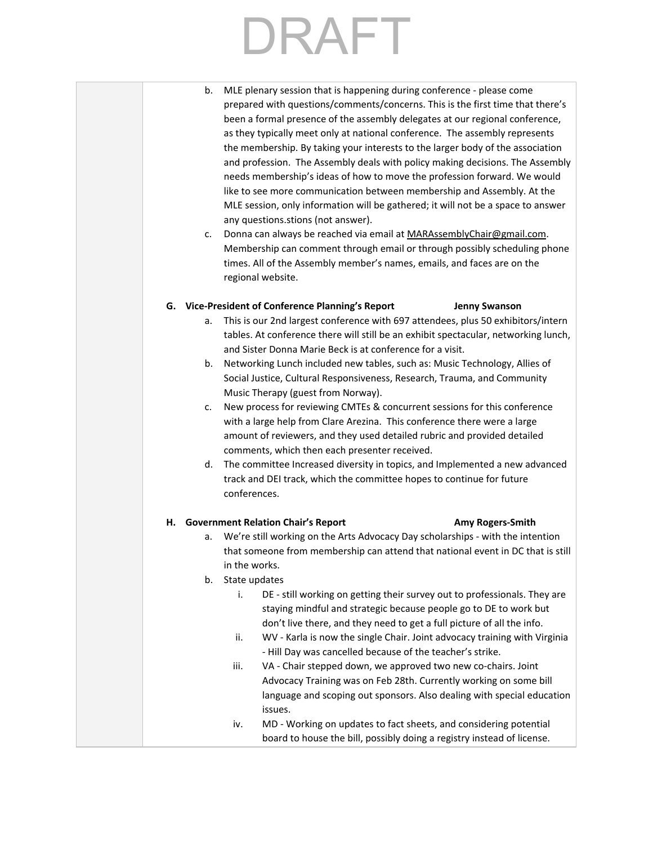## RAFT<sub></sub>

- b. MLE plenary session that is happening during conference please come prepared with questions/comments/concerns. This is the first time that there's been a formal presence of the assembly delegates at our regional conference, as they typically meet only at national conference. The assembly represents the membership. By taking your interests to the larger body of the association and profession. The Assembly deals with policy making decisions. The Assembly needs membership's ideas of how to move the profession forward. We would like to see more communication between membership and Assembly. At the MLE session, only information will be gathered; it will not be a space to answer any questions.stions (not answer).
- c. Donna can always be reached via email at [MARAssemblyChair@gmail.com](mailto:MARAssemblyChair@gmail.com). Membership can comment through email or through possibly scheduling phone times. All of the Assembly member's names, emails, and faces are on the regional website.

### **G. Vice-President of Conference Planning's Report Jenny Swanson**

- a. This is our 2nd largest conference with 697 attendees, plus 50 exhibitors/intern tables. At conference there will still be an exhibit spectacular, networking lunch, and Sister Donna Marie Beck is at conference for a visit.
- b. Networking Lunch included new tables, such as: Music Technology, Allies of Social Justice, Cultural Responsiveness, Research, Trauma, and Community Music Therapy (guest from Norway).
- c. New process for reviewing CMTEs & concurrent sessions for this conference with a large help from Clare Arezina. This conference there were a large amount of reviewers, and they used detailed rubric and provided detailed comments, which then each presenter received.
- d. The committee Increased diversity in topics, and Implemented a new advanced track and DEI track, which the committee hopes to continue for future conferences.

### **H. Government Relation Chair's Report Amy Rogers-Smith**

a. We're still working on the Arts Advocacy Day scholarships - with the intention that someone from membership can attend that national event in DC that is still in the works.

### b. State updates

- i. DE still working on getting their survey out to professionals. They are staying mindful and strategic because people go to DE to work but don't live there, and they need to get a full picture of all the info.
- ii. WV Karla is now the single Chair. Joint advocacy training with Virginia - Hill Day was cancelled because of the teacher's strike.
- iii. VA Chair stepped down, we approved two new co-chairs. Joint Advocacy Training was on Feb 28th. Currently working on some bill language and scoping out sponsors. Also dealing with special education issues.
- iv. MD Working on updates to fact sheets, and considering potential board to house the bill, possibly doing a registry instead of license.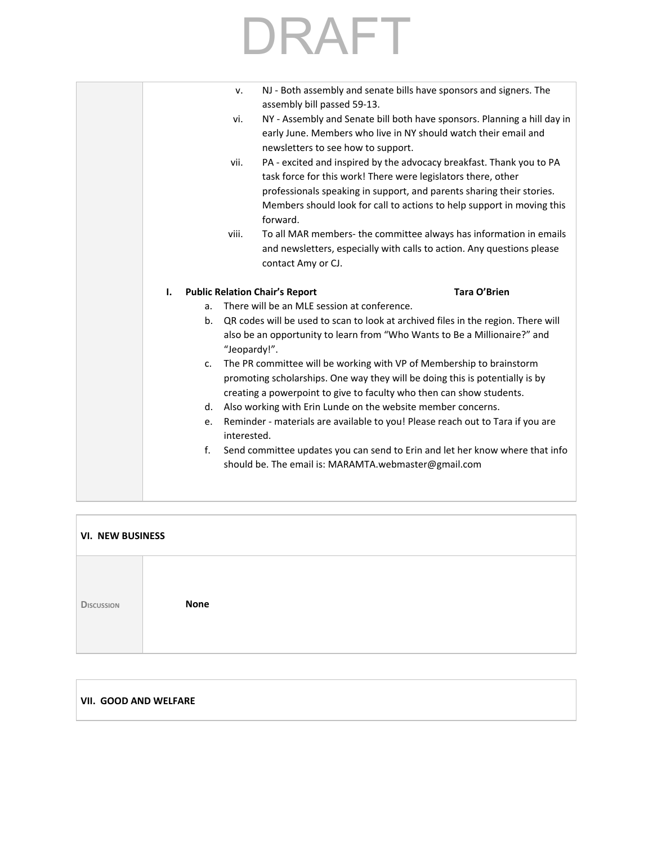| NJ - Both assembly and senate bills have sponsors and signers. The<br>v.<br>assembly bill passed 59-13.<br>vi.<br>early June. Members who live in NY should watch their email and<br>newsletters to see how to support.<br>PA - excited and inspired by the advocacy breakfast. Thank you to PA<br>vii.<br>task force for this work! There were legislators there, other<br>professionals speaking in support, and parents sharing their stories.<br>Members should look for call to actions to help support in moving this<br>forward.<br>To all MAR members- the committee always has information in emails<br>viii.<br>and newsletters, especially with calls to action. Any questions please<br>contact Amy or CJ.<br><b>Public Relation Chair's Report</b><br>Tara O'Brien<br>Ι.<br>There will be an MLE session at conference.<br>a.<br>QR codes will be used to scan to look at archived files in the region. There will<br>b.<br>also be an opportunity to learn from "Who Wants to Be a Millionaire?" and<br>"Jeopardy!".<br>The PR committee will be working with VP of Membership to brainstorm<br>c.<br>promoting scholarships. One way they will be doing this is potentially is by<br>creating a powerpoint to give to faculty who then can show students.<br>Also working with Erin Lunde on the website member concerns.<br>d.<br>Reminder - materials are available to you! Please reach out to Tara if you are<br>e.<br>interested.<br>f.<br>Send committee updates you can send to Erin and let her know where that info<br>should be. The email is: MARAMTA.webmaster@gmail.com |  |  |                                                                          |
|-----------------------------------------------------------------------------------------------------------------------------------------------------------------------------------------------------------------------------------------------------------------------------------------------------------------------------------------------------------------------------------------------------------------------------------------------------------------------------------------------------------------------------------------------------------------------------------------------------------------------------------------------------------------------------------------------------------------------------------------------------------------------------------------------------------------------------------------------------------------------------------------------------------------------------------------------------------------------------------------------------------------------------------------------------------------------------------------------------------------------------------------------------------------------------------------------------------------------------------------------------------------------------------------------------------------------------------------------------------------------------------------------------------------------------------------------------------------------------------------------------------------------------------------------------------------------------------------------------|--|--|--------------------------------------------------------------------------|
|                                                                                                                                                                                                                                                                                                                                                                                                                                                                                                                                                                                                                                                                                                                                                                                                                                                                                                                                                                                                                                                                                                                                                                                                                                                                                                                                                                                                                                                                                                                                                                                                     |  |  |                                                                          |
|                                                                                                                                                                                                                                                                                                                                                                                                                                                                                                                                                                                                                                                                                                                                                                                                                                                                                                                                                                                                                                                                                                                                                                                                                                                                                                                                                                                                                                                                                                                                                                                                     |  |  | NY - Assembly and Senate bill both have sponsors. Planning a hill day in |
|                                                                                                                                                                                                                                                                                                                                                                                                                                                                                                                                                                                                                                                                                                                                                                                                                                                                                                                                                                                                                                                                                                                                                                                                                                                                                                                                                                                                                                                                                                                                                                                                     |  |  |                                                                          |
|                                                                                                                                                                                                                                                                                                                                                                                                                                                                                                                                                                                                                                                                                                                                                                                                                                                                                                                                                                                                                                                                                                                                                                                                                                                                                                                                                                                                                                                                                                                                                                                                     |  |  |                                                                          |
|                                                                                                                                                                                                                                                                                                                                                                                                                                                                                                                                                                                                                                                                                                                                                                                                                                                                                                                                                                                                                                                                                                                                                                                                                                                                                                                                                                                                                                                                                                                                                                                                     |  |  |                                                                          |
|                                                                                                                                                                                                                                                                                                                                                                                                                                                                                                                                                                                                                                                                                                                                                                                                                                                                                                                                                                                                                                                                                                                                                                                                                                                                                                                                                                                                                                                                                                                                                                                                     |  |  |                                                                          |
|                                                                                                                                                                                                                                                                                                                                                                                                                                                                                                                                                                                                                                                                                                                                                                                                                                                                                                                                                                                                                                                                                                                                                                                                                                                                                                                                                                                                                                                                                                                                                                                                     |  |  |                                                                          |
|                                                                                                                                                                                                                                                                                                                                                                                                                                                                                                                                                                                                                                                                                                                                                                                                                                                                                                                                                                                                                                                                                                                                                                                                                                                                                                                                                                                                                                                                                                                                                                                                     |  |  |                                                                          |
|                                                                                                                                                                                                                                                                                                                                                                                                                                                                                                                                                                                                                                                                                                                                                                                                                                                                                                                                                                                                                                                                                                                                                                                                                                                                                                                                                                                                                                                                                                                                                                                                     |  |  |                                                                          |
|                                                                                                                                                                                                                                                                                                                                                                                                                                                                                                                                                                                                                                                                                                                                                                                                                                                                                                                                                                                                                                                                                                                                                                                                                                                                                                                                                                                                                                                                                                                                                                                                     |  |  |                                                                          |
|                                                                                                                                                                                                                                                                                                                                                                                                                                                                                                                                                                                                                                                                                                                                                                                                                                                                                                                                                                                                                                                                                                                                                                                                                                                                                                                                                                                                                                                                                                                                                                                                     |  |  |                                                                          |
|                                                                                                                                                                                                                                                                                                                                                                                                                                                                                                                                                                                                                                                                                                                                                                                                                                                                                                                                                                                                                                                                                                                                                                                                                                                                                                                                                                                                                                                                                                                                                                                                     |  |  |                                                                          |
|                                                                                                                                                                                                                                                                                                                                                                                                                                                                                                                                                                                                                                                                                                                                                                                                                                                                                                                                                                                                                                                                                                                                                                                                                                                                                                                                                                                                                                                                                                                                                                                                     |  |  |                                                                          |
|                                                                                                                                                                                                                                                                                                                                                                                                                                                                                                                                                                                                                                                                                                                                                                                                                                                                                                                                                                                                                                                                                                                                                                                                                                                                                                                                                                                                                                                                                                                                                                                                     |  |  |                                                                          |
|                                                                                                                                                                                                                                                                                                                                                                                                                                                                                                                                                                                                                                                                                                                                                                                                                                                                                                                                                                                                                                                                                                                                                                                                                                                                                                                                                                                                                                                                                                                                                                                                     |  |  |                                                                          |
|                                                                                                                                                                                                                                                                                                                                                                                                                                                                                                                                                                                                                                                                                                                                                                                                                                                                                                                                                                                                                                                                                                                                                                                                                                                                                                                                                                                                                                                                                                                                                                                                     |  |  |                                                                          |
|                                                                                                                                                                                                                                                                                                                                                                                                                                                                                                                                                                                                                                                                                                                                                                                                                                                                                                                                                                                                                                                                                                                                                                                                                                                                                                                                                                                                                                                                                                                                                                                                     |  |  |                                                                          |
|                                                                                                                                                                                                                                                                                                                                                                                                                                                                                                                                                                                                                                                                                                                                                                                                                                                                                                                                                                                                                                                                                                                                                                                                                                                                                                                                                                                                                                                                                                                                                                                                     |  |  |                                                                          |
|                                                                                                                                                                                                                                                                                                                                                                                                                                                                                                                                                                                                                                                                                                                                                                                                                                                                                                                                                                                                                                                                                                                                                                                                                                                                                                                                                                                                                                                                                                                                                                                                     |  |  |                                                                          |
|                                                                                                                                                                                                                                                                                                                                                                                                                                                                                                                                                                                                                                                                                                                                                                                                                                                                                                                                                                                                                                                                                                                                                                                                                                                                                                                                                                                                                                                                                                                                                                                                     |  |  |                                                                          |
|                                                                                                                                                                                                                                                                                                                                                                                                                                                                                                                                                                                                                                                                                                                                                                                                                                                                                                                                                                                                                                                                                                                                                                                                                                                                                                                                                                                                                                                                                                                                                                                                     |  |  |                                                                          |
|                                                                                                                                                                                                                                                                                                                                                                                                                                                                                                                                                                                                                                                                                                                                                                                                                                                                                                                                                                                                                                                                                                                                                                                                                                                                                                                                                                                                                                                                                                                                                                                                     |  |  |                                                                          |
|                                                                                                                                                                                                                                                                                                                                                                                                                                                                                                                                                                                                                                                                                                                                                                                                                                                                                                                                                                                                                                                                                                                                                                                                                                                                                                                                                                                                                                                                                                                                                                                                     |  |  |                                                                          |
|                                                                                                                                                                                                                                                                                                                                                                                                                                                                                                                                                                                                                                                                                                                                                                                                                                                                                                                                                                                                                                                                                                                                                                                                                                                                                                                                                                                                                                                                                                                                                                                                     |  |  |                                                                          |

| <b>VI. NEW BUSINESS</b> |             |  |  |
|-------------------------|-------------|--|--|
| <b>DISCUSSION</b>       | <b>None</b> |  |  |

### **VII. GOOD AND WELFARE**